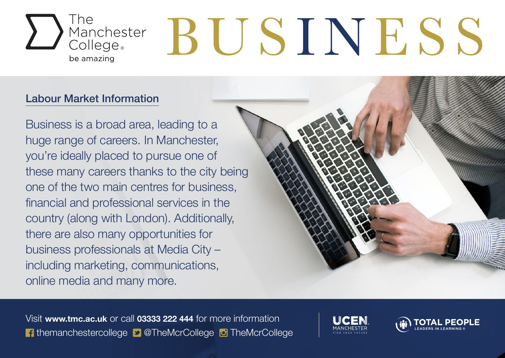

## $\sum_{\text{Manchester}}$  BUSINESS

## Labour Market Information

Business is a broad area, leading to a huge range of careers. In Manchester, you're ideally placed to pursue one of these many careers thanks to the city being one of the two main centres for business, financial and professional services in the country (along with London). Additionally, there are also many opportunities for business professionals at Media City – including marketing, communications, online media and many more.

Visit **www.tmc.ac.uk** or call **03333 222 444** for more information **f** themanchestercollege **D** @TheMcrCollege **D** TheMcrCollege